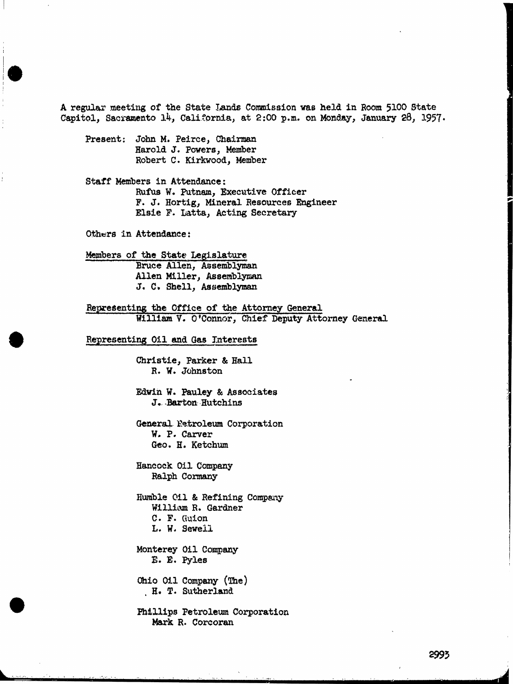A regular meeting of the State Lands Commission was held in Room 5100 State Capitol, Sacramento 14, California, at 2:00 p.m. on Monday, January 28, 1957.

Present: John M. Peirce, Chairman Harold J. Powers, Member Robert C. Kirkwood, Member

Staff Members in Attendance: Rufus W. Putnam, Executive Officer F. J. Hortig, Mineral Resources Engineer Elsie F. Latta, Acting Secretary

Others in Attendance:

Members of the State Legislature Bruce Allen, Assemblyman Allen Miller, Assemblyman J. C. Shell, Assemblyman

Representing the Office of the Attorney General William V. C'Connor, Chief Deputy Attorney General

Representing Oil and Gas Interests

Christie, Parker & Hall R. W. Johnston

Edwin W. Pauley & Associates J. Barton Hutchins

General Petroleum Corporation W. P. Carver Geo. H. Ketchum

Hancock Oil Company Ralph Cormany

Humble Cil & Refining Company William R. Gardner C. F. Guion L. W. Sewell

Monterey Oil Company E. E. Pyles

Ohio Oil Company (The) H. T. Sutherland

Phillips Petroleum Corporation Mark R. Corcoran